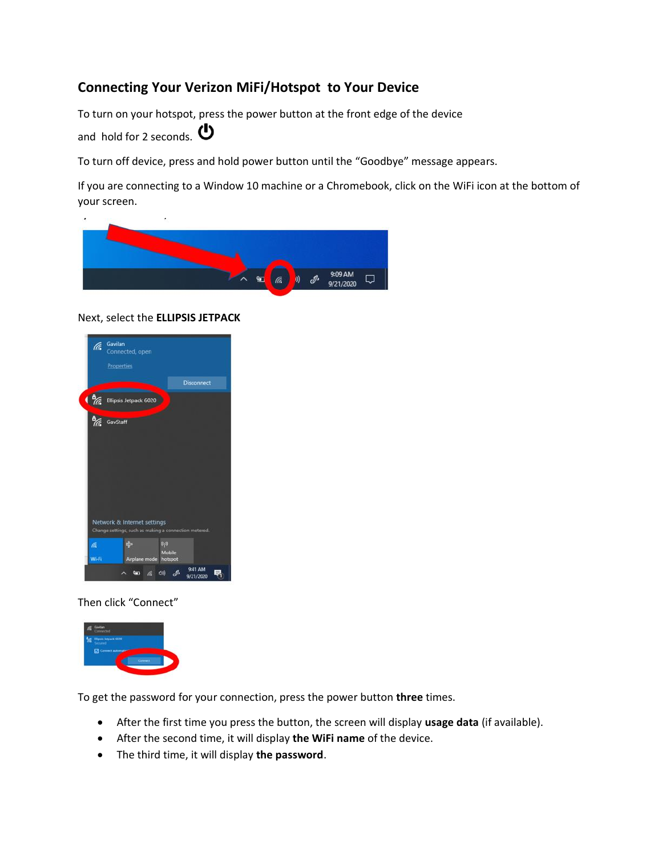# **Connecting Your Verizon MiFi/Hotspot to Your Device**

To turn on your hotspot, press the power button at the front edge of the device and hold for 2 seconds.  $\bullet$ 

To turn off device, press and hold power button until the "Goodbye" message appears.

If you are connecting to a Window 10 machine or a Chromebook, click on the WiFi icon at the bottom of your screen.



### Next, select the **ELLIPSIS JETPACK**



Then click "Connect"



To get the password for your connection, press the power button **three** times.

- After the first time you press the button, the screen will display **usage data** (if available).
- After the second time, it will display **the WiFi name** of the device.
- The third time, it will display **the password**.